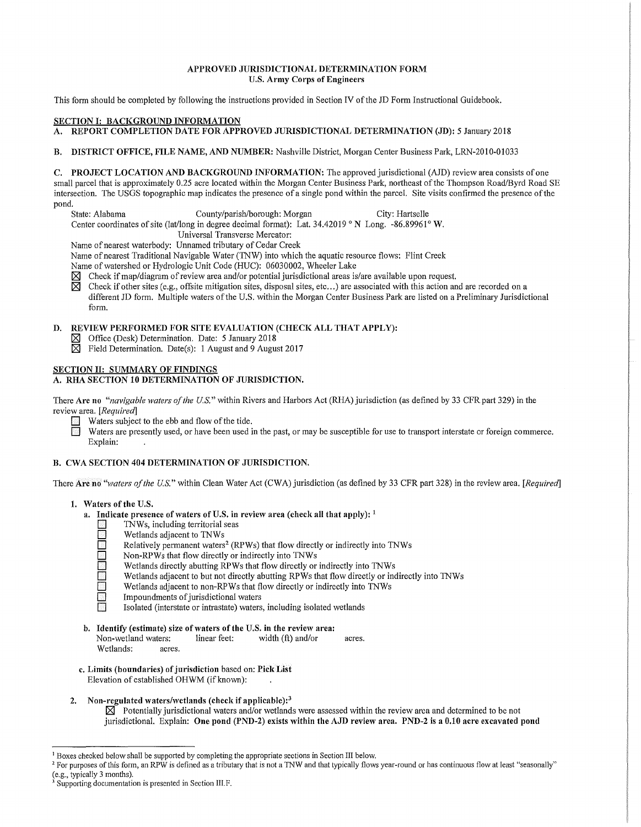#### **APPROVED JURISDICTIONAL DETERMINATION FORM U.S. Army Corps of Engineers**

This form should be completed by following the instructions provided in Section IV of the JD Form Instructional Guidebook.

### **SECTION I: BACKGROUND INFORMATION**

**A. REPORT COMPLETION DATE FOR APPROVED JURISDICTIONAL DETERMINATION (JD):** 5 January 2018

**B. DISTRICT OFFICE, FILE NAME, AND NUMBER:** Nashville District, Morgan Center Business Park, LRN-2010-01033

**C. PROJECT LOCATION AND BACKGROUND INFORMATION:** The approved jurisdictional (AJD) review area consists of one small parcel that is approximately 0.25 acre located within the Morgan Center Business Park, northeast of the Thompson Road/Byrd Road SE intersection. The USGS topographic map indicates the presence ofa single pond within the parcel. Site visits confirmed the presence of the pond.<br>State: Alabama

County/parish/borough: Morgan City: Hartselle

Center coordinates of site (lat/long in degree decimal format): Lat. 34.42019 ° N Long. -86.89961° **W.** 

Universal Transverse Mercator:

Name of nearest waterbody: Unnamed tributary of Cedar Creek

Name of nearest Traditional Navigable Water (TNW) into which the aquatic resource flows: Flint Creek

Name of watershed or Hydrologic Unit Code (HUC): 06030002, Wheeler Lake

 $\boxtimes$  Check if map/diagram of review area and/or potential jurisdictional areas is/are available upon request.<br> $\boxtimes$  Check if other sites (e.g., offsite mitigation sites, disposal sites, etc...) are associated with this a

~ Check if other sites (e.g., offsite mitigation sites, disposal sites, etc ... ) are associated with this action and are recorded on a different JD form. Multiple waters of the U.S. within the Morgan Center Business Park are listed on a Preliminary Jurisdictional form.

# **D. REVIEW PERFORMED FOR SITE EVALUATION (CHECK ALL THAT APPLY):**

~ Office (Desk) Determination. Date: 5 January 2018

 $\overline{\boxtimes}$  Field Determination. Date(s): 1 August and 9 August 2017

### **SECTION II: SUMMARY OF FINDINGS**

# **A. RHA SECTION 10 DETERMINATION OF JURISDICTION.**

There **Are no** *"navigable waters of the U.S."* within Rivers and Harbors Act (RHA) jurisdiction (as defined by 33 CFR part 329) in the review area. *[Required]* 

- **D** Waters subject to the ebb and flow of the tide.<br>
Waters are presently used, or have been used i
- Waters are presently used, or have been used in the past, or may be susceptible for use to transport interstate or foreign commerce. Explain:

## **B. CWA SECTION 404 DETERMINATION OF JURISDICTION.**

There **Are no** *"waters of the U.S."* within Clean Water Act (CWA) jurisdiction (as defined by 33 CFR part 328) in the review area. *[Required]* 

#### **1. Waters of the U.S.**

- **a.** Indicate presence of waters of U.S. in review area (check all that apply): <sup>1</sup><br>
INWs, including territorial seas
	- **D** TNWs, including territorial seas<br>
	Wetlands adiacent to TNWs
	- **D** Wetlands adjacent to TNWs<br>
	Relatively permanent waters
	- **D** Relatively permanent waters<sup>2</sup> (RPWs) that flow directly or indirectly into TNWs Non-RPWs that flow directly or indirectly into TNWs
		-
	- **D** Non-RPWs that flow directly or indirectly into TNWs Wetlands directly abutting RPWs that flow directly or **D** Wetlands directly abutting RPWs that flow directly or indirectly into TNWs<br>Wetlands adjacent to but not directly abutting RPWs that flow directly or in<br>Wetlands adjacent to non-RPWs that flow directly or indirectly int
		- Wetlands adjacent to but not directly abutting RPWs that flow directly or indirectly into TNWs
	- **D E** Wetlands adjacent to non-RPWs that flow directly or indirectly into TNWs Impoundments of jurisdictional waters
	- **D** Impoundments of jurisdictional waters<br> **D** Isolated (interstate or intrastate) waters
		- Isolated (interstate or intrastate) waters, including isolated wetlands
- **b. Identify (estimate) size of waters of the U.S. in the review area:**  Non-wetland waters: linear feet: width (ft) and/or acres. Wetlands: acres.
- **c. Limits (boundaries) of jurisdiction** based on: **Pick List**  Elevation of established OHWM (if known):
- **2. Non-regulated waters/wetlands (check if applicable): <sup>3</sup>**

 $\overline{\mathsf{X}}$  Potentially jurisdictional waters and/or wetlands were assessed within the review area and determined to be not jurisdictional. Explain: **One pond (PND-2) exists within the AJD review area. PND-2 is a 0.10 acre excavated pond** 

<sup>&</sup>lt;sup>1</sup> Boxes checked below shall be supported by completing the appropriate sections in Section III below.<br><sup>2</sup> For purposes of this form, an RPW is defined as a tributary that is not a TNW and that typically flows year-round

<sup>&</sup>lt;sup>3</sup> Supporting documentation is presented in Section III.F.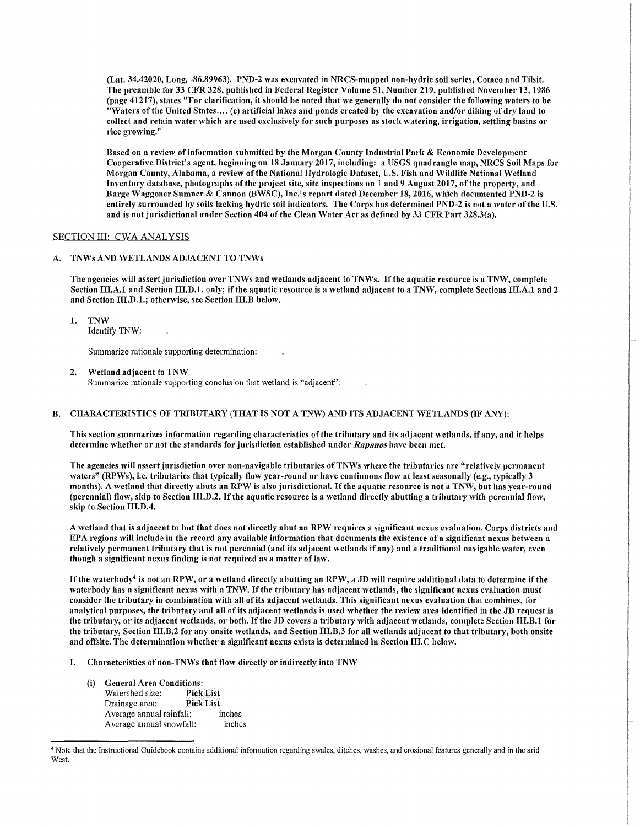(Lat. 34.42020, Long. -86.89963). PND-2 was excavated in NRCS-mapped non-hydric soil series, Cotaco and Tilsit. The preamble for 33 CFR 328, published in Federal Register Volume 51, Number 219, published November 13, 1986 (page 41217), states "For clarification, it should be noted that we generally do not consider the following waters to be "Waters of the United States .... (c) artificial lakes and ponds created by the excavation and/or diking of dry land to collect and retain water which are used exclusively for such purposes as stock watering, irrigation, settling basins or rice growing."

Based on a review of information submitted by the Morgan County Industrial Park & Economic Development Cooperative District's agent, beginning on 18 January 2017, including: a USGS quadrangle map, NRCS Soil Maps for Morgan County, Alabama, a review of the National Hydrologic Dataset, U.S. Fish and Wildlife National Wetland Inventory database, photographs of the project site, site inspections on 1 and 9 August 2017, of the property, and Barge Waggoner Sumner & Cannon (BWSC), Inc.'s report dated December 18, 2016, which documented PND-2 is entirely surrounded by soils lacking hydric soil indicators. The Corps has determined PND-2 is not a water of the U.S. and is not jurisdictional under Section 404 of the Clean Water Act as defined by 33 CFR Part 328.3(a).

## SECTION III: CWA ANALYSIS

### A. TNWs AND WETLANDS ADJACENT TO TNWs

The agencies will assert jurisdiction over TNWs and wetlands adjacent to TNWs. If the aquatic resource is a TNW, complete Section III.A.1 and Section III.D.1. only; if the aquatic resource is a wetland adjacent to a TNW, complete Sections III.A.1 and 2 and Section III.D.1.; othenvise, see Section III.B below.

1. TNW

Identify 1NW:

Summarize rationale supporting determination:

2. Wetland adjacent to TNW Summarize rationale supporting conclusion that wetland is "adjacent":

### B. CHARACTERISTICS OF TRIBUTARY (THAT IS NOT A TNW) AND ITS ADJACENT WETLANDS (IF ANY):

This section summarizes information regarding characteristics of the tributary and its adjacent wetlands, if any, and it helps determine whether or not the standards for jurisdiction established under *Rapanos* have been met.

The agencies will assert jurisdiction over non-navigable tributaries ofTNWs where the tributaries are "relatively permanent waters" (RPWs), i.e. tributaries that typically flow year-round or have continuous flow at least seasonally (e.g., typically 3 months). A wetland that directly abuts an RPW is also jurisdictional. If the aquatic resource is not a TNW, but has year-round (perennial) flow, skip to Section III.D.2. If the aquatic resource is a wetland directly abutting a tributary with perennial flow, skip to Section  $III.D.4.$ 

A wetland that is adjacent to but that does not directly abut an RPW requires a significant nexus evaluation. Corps districts and EPA regions will include in the record any available information that documents the existence of a significant nexus between a relatively permanent tributary that is not perennial (and its adjacent wetlands if any) and a traditional navigable water, even though a significant nexus finding is not required as a matter of law.

If the waterbody<sup>4</sup> is not an RPW, or a wetland directly abutting an RPW, a JD will require additional data to determine if the waterbody has a significant nexus with a TNW. If the tributary has adjacent wetlands, the significant nexus evaluation must consider the tributary in combination with all of its adjacent wetlands. This significant nexus evaluation that combines, for analytical purposes, the tributary and all of its adjacent wetlands is used whether the review area identified in the JD request is the tributary, or its adjacent wetlands, or both. If the JD covers a tributary with adjacent wetlands, complete Section III.B.1 for the tributary, Section III.B.2 for any onsite wetlands, and Section III.B.3 for all wetlands adjacent to that tributary, both onsite and offsite. The determination whether a significant nexus exists is determined in Section III.C below.

- 1. Characteristics of non-TNWs that flow directly or indirectly into TNW
	- (i) General Area Conditions: Watershed size: Pick List Drainage area: Pick List Average annual rainfall: inches Average annual snowfall: inches

<sup>4</sup> Note that the Instructional Guidebook contains additional information regarding swales, ditches, washes, and erosional features generally and in the arid West.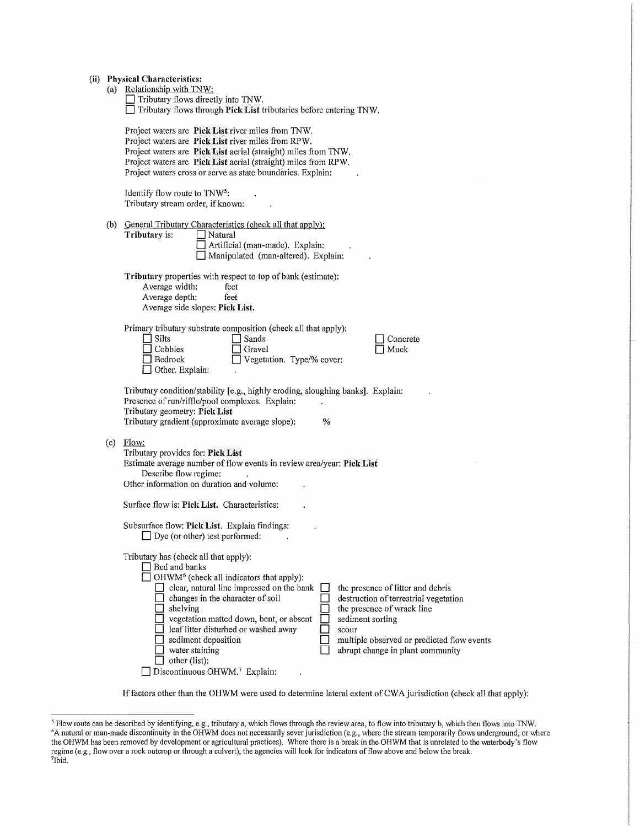(a) Relationship with INW:

|  |  | $\Box$ Tributary flows directly into TNW. |                                                                           |  |  |
|--|--|-------------------------------------------|---------------------------------------------------------------------------|--|--|
|  |  |                                           | $\Box$ Tributary flows through Pick List tributaries before entering TNW. |  |  |

Project waters are **Pick List** river miles from INW. Project waters are **Pick List** river miles from RPW. Project waters are **Pick List** aerial (straight) miles from INW. Project waters are **Pick List** aerial (straight) miles from RPW. Project waters cross or serve as state boundaries. Explain:

Identify flow route to INW5: Tributary stream order, if known:

 $\overline{\Box}$  other (list):

□ Discontinuous OHWM.<sup>7</sup> Explain:

(b) General Tributary Characteristics (check all that apply):<br>
Tributary is:  $\Box$  Natural **Tributary** is:

**D** Artificial (man-made). Explain: **D** Manipulated (man-altered). Explain:

 $\ddot{\phantom{a}}$ 

**Tributary** properties with respect to top of bank (estimate):<br>Average width: feet Average width: Average depth: feet Average side slopes: **Pick List.** 

|     |                                                                                                                                     | Primary tributary substrate composition (check all that apply):                         |          |
|-----|-------------------------------------------------------------------------------------------------------------------------------------|-----------------------------------------------------------------------------------------|----------|
|     | <b>Silts</b>                                                                                                                        | Sands                                                                                   | Concrete |
|     | Cobbles                                                                                                                             | Gravel                                                                                  | Muck     |
|     | Bedrock                                                                                                                             | Vegetation. Type/% cover:                                                               |          |
|     | Other, Explain:                                                                                                                     |                                                                                         |          |
|     | Presence of run/riffle/pool complexes. Explain:<br>Tributary geometry: Pick List<br>Tributary gradient (approximate average slope): | Tributary condition/stability [e.g., highly eroding, sloughing banks]. Explain:<br>$\%$ |          |
| (c) | Flow:                                                                                                                               |                                                                                         |          |

| Tributary provides for: Pick List                                                              |                                            |
|------------------------------------------------------------------------------------------------|--------------------------------------------|
| Estimate average number of flow events in review area/year: Pick List<br>Describe flow regime: |                                            |
| Other information on duration and volume:                                                      |                                            |
| Surface flow is: Pick List. Characteristics:                                                   |                                            |
| Subsurface flow: Pick List. Explain findings:<br>$\Box$ Dye (or other) test performed:         |                                            |
| Tributary has (check all that apply):<br>Bed and banks                                         |                                            |
| OHWM <sup>6</sup> (check all indicators that apply):                                           |                                            |
| clear, natural line impressed on the bank                                                      | the presence of litter and debris          |
| changes in the character of soil                                                               | destruction of terrestrial vegetation      |
| shelving                                                                                       | the presence of wrack line                 |
| vegetation matted down, bent, or absent                                                        | sediment sorting                           |
| leaf litter disturbed or washed away                                                           | scour                                      |
| sediment deposition                                                                            | multiple observed or predicted flow events |
| water staining                                                                                 | abrupt change in plant community           |

If factors other than the OHWM were used to determine lateral extent of CW A jurisdiction (check all that apply):

<sup>&</sup>lt;sup>5</sup> Flow route can be described by identifying, e.g., tributary a, which flows through the review area, to flow into tributary b, which then flows into TNW.<br><sup>6</sup>A natural or man-made discontinuity in the OHWM does not neces the OHWM has been removed by development or agricultural practices). Where there is a break in the OHWM that is unrelated to the waterbody's flow regime (e.g., flow over a rock outcrop or through a culvert), the agencies will look for indicators of flow above and below the break. 7Ibid.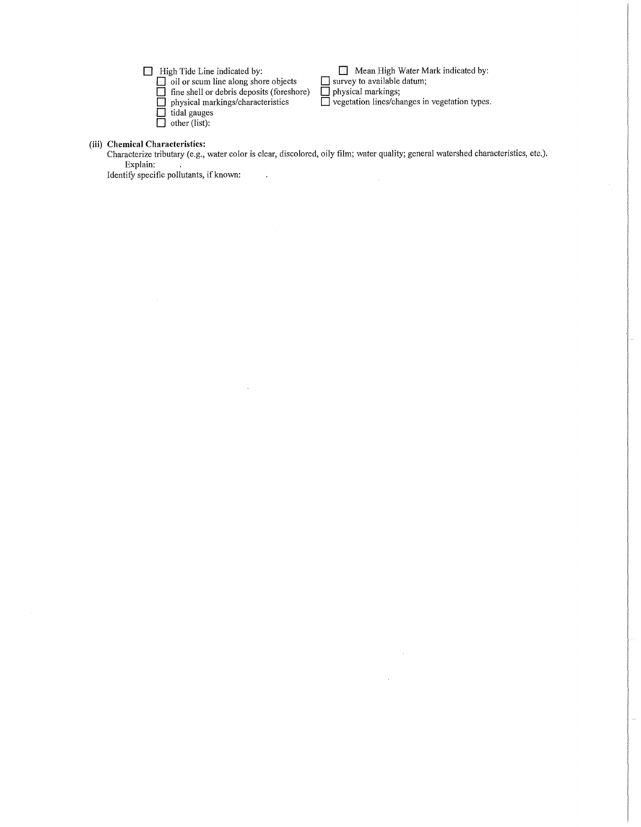**D** High Tide Line indicated by:

**D** oil or scum line along shore objects

**D** fine shell or debris deposits (foreshore)

 $\ddot{\phantom{a}}$ 

 $\sim$ 

**D** physical markings/characteristics

- $\Box$  tidal gauges
- **D** other (list):

**D** Mean High Water Mark indicated by:

**D** survey to available datum; **D** physical markings;

 $\bar{u}$ 

 $\bar{z}$ 

**D** vegetation lines/changes in vegetation types.

# **(iii) Chemical Characteristics:**

Characterize tributary (e.g., water color is clear, discolored, oily film; water quality; general watershed characteristics, etc.). Explain:  $\sim$ 

Identify specific pollutants, if known: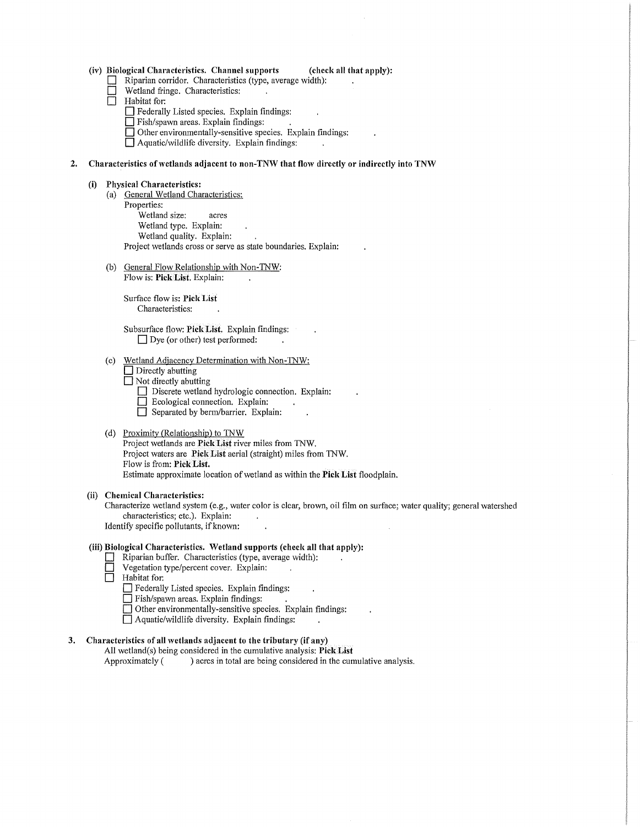#### (iv) **Biological Characteristics. Channel supports (check all that apply):**

- **D** Riparian corridor. Characteristics (type, average width):<br> **D** Wetland fringe. Characteristics:
- **D** Wetland fringe. Characteristics:<br> **D** Habitat for:
- Habitat for:
	- **D** Federally Listed species. Explain findings:
	- D Fish/spawn areas. Explain findings:
	- **D** Other environmentally-sensitive species. Explain findings:

 $\Box$  Aquatic/wildlife diversity. Explain findings:

#### **2. Characteristics of wetlands adjacent to non-TNW that flow directly or indirectly into TNW**

#### **(i) Physical Characteristics:**

- (a) General Wetland Characteristics:
- Properties:
	- Wetland size: acres Wetland type. Explain: Wetland quality. Explain: Project wetlands cross or serve as state boundaries. Explain:
- (b) General Flow Relationship with Non-TNW: Flow is: **Pick List.** Explain:

Surface flow is: **Pick List**  Characteristics:

Subsurface flow: **Pick List.** Explain findings:  $\Box$  Dye (or other) test performed:

- (c) Wetland Adjacency Determination with Non-TNW:
	- **D** Directly abutting
	- $\Box$  Not directly abutting
		- D Discrete wetland hydrologic connection. Explain:
		- **D** Ecological connection. Explain:
		- Separated by berm/barrier. Explain:

#### (d) Proximity (Relationship) to TNW

Project wetlands are **Pick List** river miles from 1NW. Project waters are **Pick List** aerial (straight) miles from 1NW. Flow is from: **Pick List.**  Estimate approximate location of wetland as within the **Pick List** floodplain.

#### **(ii) Chemical Characteristics:**

Characterize wetland system (e.g., water color is clear, brown, oil film on surface; water quality; general watershed characteristics; etc.). Explain:

Identify specific pollutants, if known:

# **(iii) Biological Characteristics. Wetland supports (check all that apply):**

- Riparian buffer. Characteristics (type, average width):
- **D** Vegetation type/percent cover. Explain:<br> **D** Habitat for:
- **D** Habitat for:
	- D Federally Listed species. Explain findings:
	- D Fish/spawn areas. Explain findings:
	- D Other environmentally-sensitive species. Explain findings:
	- **D** Aquatic/wildlife diversity. Explain findings:

## **3. Characteristics of all wetlands adjacent to the tributary (if any)**

All wetland(s) being considered in the cumulative analysis: **Pick List** Approximately () acres in total are being considered in the cumulative analysis.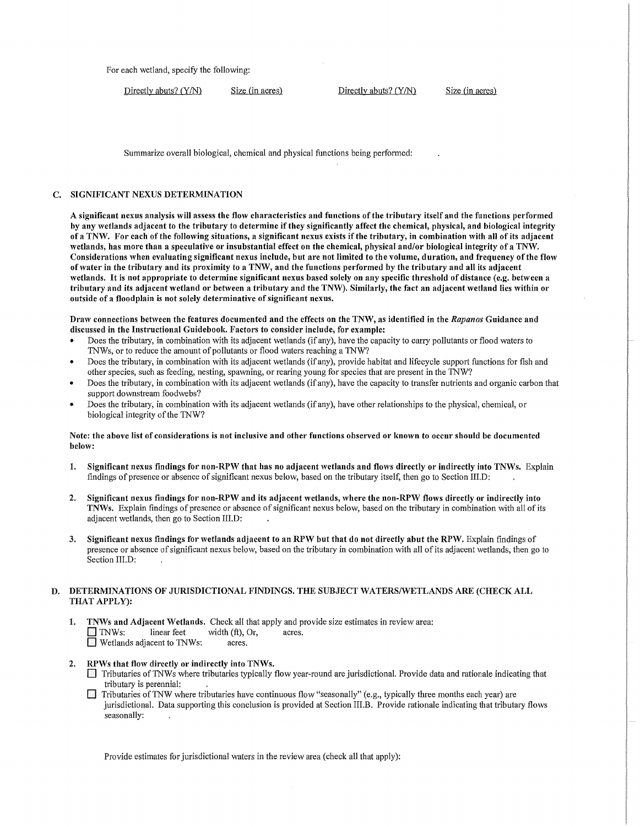For each wetland, specify the following:

Directly abuts? (Y/N) Size (in acres) Directly abuts? (Y/N) Size (in acres)

Summarize overall biological, chemical and physical functions being performed:

#### C. SIGNIFICANT NEXUS DETERMINATION

A significant nexus analysis will assess the flow characteristics and functions of the tributary itself and the functions performed by any wetlands adjacent to the tributary to determine if they significantly affect the chemical, physical, and biological integrity of a TNW. For each of the following situations, a significant nexus exists if the tributary, in combination with all of its adjacent wetlands, has more than a speculative or insubstantial effect on the chemical, physical and/or biological integrity of a TNW. Considerations when evaluating significant nexus include, but are not limited to the volume, duration, and frequency of the flow of water in the tributary and its proximity to a TNW, and the functions performed by the tributary and all its adjacent wetlands. It is not appropriate to determine significant nexus based solely on any specific threshold of distance (e.g. between a tributary and its adjacent wetland or between a tributary and the TNW). Similarly, the fact an adjacent wetland lies within or outside of a floodplain is not solely determinative of significant nexus.

Draw connections between the features documented and the effects on the TNW, as identified in the *Rapanos* Guidance and discussed in the Instructional Guidebook. Factors to consider include, for example:

- Does the tributary, in combination with its adjacent wetlands (if any), have the capacity to carry pollutants or flood waters to 1NWs, or to reduce the amount of pollutants or flood waters reaching a 1NW?
- Does the tributary, in combination with its adjacent wetlands (if any), provide habitat and lifecycle support functions for fish and other species, such as feeding, nesting, spawning, or rearing young for species that are present in the 1NW?
- Does the tributary, in combination with its adjacent wetlands (if any), have the capacity to transfer nutrients and organic carbon that support dovmstream foodwebs?
- Does the tributary, in combination with its adjacent wetlands (if any), have other relationships to the physical, chemical, or biological integrity of the 1NW?

#### Note: the above list of considerations is not inclusive and other functions observed or known to occur should be documented below:

- 1. Significant nexus findings for non-RPW that has no adjacent wetlands and flows directly or indirectly into TNWs. Explain findings of presence or absence of significant nexus below, based on the tributary itself, then go to Section III.D:
- 2. Significant nexus findings for non-RPW and its adjacent wetlands, where the non-RPW flows directly or indirectly into TNWs. Explain findings of presence or absence of significant nexus below, based on the tributary in combination with all of its adjacent wetlands, then go to Section III.D:
- 3. Significant nexus findings for wetlands adjacent to an RPW but that do not directly abut the RPW. Explain findings of presence or absence of significant nexus below, based on the tributary in combination with all of its adjacent wetlands, then go to Section III.D:

### D. DETERMINATIONS OF JURISDICTIONAL FINDINGS. THE SUBJECT WATERS/WETLANDS ARE (CHECK ALL THAT APPLY):

- 1. TNWs and Adjacent Wetlands. Check all that apply and provide size estimates in review area: The 1NWs: linear feet width (ft), Or, acres.<br>
Netlands adjacent to TNWs: acres. **Wetlands adjacent to TNWs:**
- 2. RPWs that flow directly or indirectly into TNWs.
	- D Tributaries of1NWs where tributaries typically flow year-round are jurisdictional. Provide data and rationale indicating that tributary is perennial:
	- $\Box$  Tributaries of TNW where tributaries have continuous flow "seasonally" (e.g., typically three months each year) are jurisdictional. Data supporting this conclusion is provided at Section III.B. Provide rationale indicating that tributary flows seasonally:

Provide estimates for jurisdictional waters in the review area (check all that apply):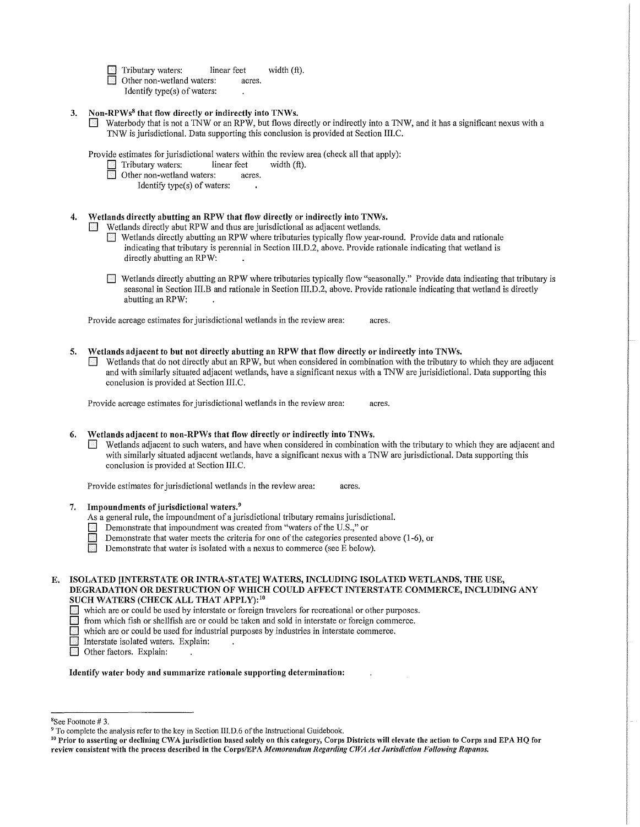Tributary waters: linear feet width (ft).<br> **Depending to the United States:** acres.

- Other non-wetland waters: Identify type(s) of waters:
- 3. Non-RPWs<sup>8</sup> that flow directly or indirectly into TNWs.
	- D Waterbody that is not a 1NW or an RPW, but flows directly or indirectly into a 1NW, and it has a significant nexus with a 1NW is jurisdictional. Data supporting this conclusion is provided at Section III.C.

| Provide estimates for jurisdictional waters within the review area (check all that apply): |             |                |  |
|--------------------------------------------------------------------------------------------|-------------|----------------|--|
| $\blacksquare$ Tributary waters:                                                           | linear feet | width $(ft)$ . |  |
| <b>Other non-wetland waters:</b>                                                           | acres.      |                |  |

Identify type(s) of waters:

## Wetlands directly abutting an RPW that flow directly or indirectly into TNWs.

Wetlands directly abut RPW and thus are jurisdictional as adjacent wetlands.

- D Wetlands directly abutting an RPW where tributaries typically flow year-round. Provide data and rationale indicating that tributary is perennial in Section III.D.2, above. Provide rationale indicating that wetland is directly abutting an RPW:
- D Wetlands directly abutting an RPW where tributaries typically flow "seasonally." Provide data indicating that tributary is seasonal in Section III.B and rationale in Section III.D.2, above. Provide rationale indicating that wetland is directly abutting an RPW:

Provide acreage estimates for jurisdictional wetlands in the review area: acres.

5. Wetlands adjacent to but not directly abutting an RPW that flow directly or indirectly into TNWs. D Wetlands that do not directly abut an RPW, but when considered in combination with the tributary to which they are adjacent and with similarly situated adjacent wetlands, have a significant nexus with a 1NW are jurisidictional. Data supporting this conclusion is provided at Section III.C.

Provide acreage estimates for jurisdictional wetlands in the review area: acres.

#### 6. Wetlands adjacent to non-RPWs that flow directly or indirectly into TNWs.

D Wetlands adjacent to such waters, and have when considered in combination with the tributary to which they are adjacent and with similarly situated adjacent wetlands, have a significant nexus with a 1NW are jurisdictional. Data supporting this conclusion is provided at Section III.C.

Provide estimates for jurisdictional wetlands in the review area: acres.

7. Impoundments of jurisdictional waters.<sup>9</sup>

As a general rule, the impoundment of a jurisdictional tributary remains jurisdictional.

- Demonstrate that impoundment was created from "waters of the U.S.," or
- Demonstrate that water meets the criteria for one of the categories presented above  $(1-6)$ , or
- Demonstrate that water is isolated with a nexus to commerce (see E below).

D which are or could be used by interstate or foreign travelers for recreational or other purposes.

 $\Box$  from which fish or shellfish are or could be taken and sold in interstate or foreign commerce.

which are or could be used for industrial purposes by industries in interstate commerce.

- Interstate isolated waters. Explain:
- Other factors. Explain:

Identify water body and summarize rationale supporting determination:

E. ISOLATED [INTERSTATE OR INTRA-STATE] WATERS, INCLUDING ISOLATED WETLANDS, THE USE, DEGRADATION OR DESTRUCTION OF WHICH COULD AFFECT INTERSTATE COMMERCE, INCLUDING ANY SUCH WATERS (CHECK ALL THAT APPLY): <sup>10</sup>

<sup>&</sup>lt;sup>8</sup>See Footnote #3.

<sup>&</sup>lt;sup>9</sup> To complete the analysis refer to the key in Section III.D.6 of the Instructional Guidebook.<br><sup>10</sup> Prior to asserting or declining CWA jurisdiction based solely on this category, Corps Districts will elevate the action review consistent with the process described in the Corps/EPA Memorandum Regarding CWA Act Jurisdiction Following Rapanos.